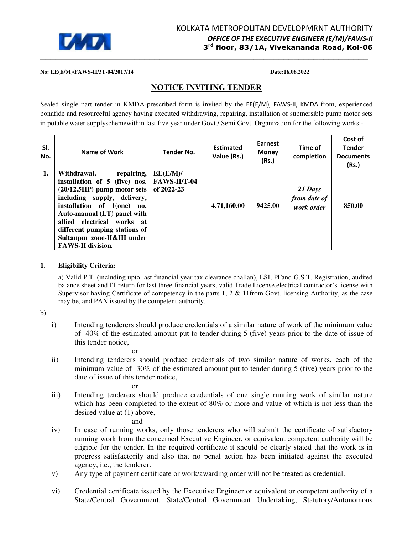

# KOLKATA METROPOLITAN DEVELOPMRNT AUTHORITY *OFFICE OF THE EXECUTIVE ENGINEER (E/M)/FAWS-II*  **rd floor, 83/1A, Vivekananda Road, Kol-06**

**No: EE(E/M)/FAWS-II/3T-04/2017/14 Date:16.06.2022** 

# **NOTICE INVITING TENDER**

Sealed single part tender in KMDA-prescribed form is invited by the EE(E/M), FAWS-II, KMDA from, experienced bonafide and resourceful agency having executed withdrawing, repairing, installation of submersible pump motor sets in potable water supplyschemewithin last five year under Govt./ Semi Govt. Organization for the following works:-

| SI.<br>No. | Name of Work                                                                                                                                                                                                                                                                                                         | <b>Tender No.</b>                                 | <b>Estimated</b><br>Value (Rs.) | Earnest<br><b>Money</b><br>(Rs.) | Time of<br>completion                 | Cost of<br><b>Tender</b><br><b>Documents</b><br>(Rs.) |
|------------|----------------------------------------------------------------------------------------------------------------------------------------------------------------------------------------------------------------------------------------------------------------------------------------------------------------------|---------------------------------------------------|---------------------------------|----------------------------------|---------------------------------------|-------------------------------------------------------|
| 1.         | repairing,<br>Withdrawal,<br>installation of 5 (five) nos.<br>$(20/12.5HP)$ pump motor sets<br>including supply, delivery,<br>installation of 1(one)<br>no.<br>Auto-manual (LT) panel with<br>allied electrical works at<br>different pumping stations of<br>Sultanpur zone-II&III under<br><b>FAWS-II division.</b> | EE(E/M)/<br><b>FAWS-II/T-04</b><br>of $2022 - 23$ | 4,71,160.00                     | 9425.00                          | 21 Days<br>from date of<br>work order | 850.00                                                |

### **1. Eligibility Criteria:**

 a) Valid P.T. (including upto last financial year tax clearance challan), ESI, PFand G.S.T. Registration, audited balance sheet and IT return for last three financial years, valid Trade License,electrical contractor's license with Supervisor having Certificate of competency in the parts 1, 2 & 11from Govt. licensing Authority, as the case may be, and PAN issued by the competent authority.

## b)

i) Intending tenderers should produce credentials of a similar nature of work of the minimum value of 40% of the estimated amount put to tender during 5 (five) years prior to the date of issue of this tender notice,

or

ii) Intending tenderers should produce credentials of two similar nature of works, each of the minimum value of 30% of the estimated amount put to tender during 5 (five) years prior to the date of issue of this tender notice,

or

iii) Intending tenderers should produce credentials of one single running work of similar nature which has been completed to the extent of 80% or more and value of which is not less than the desired value at (1) above,

and

- iv) In case of running works, only those tenderers who will submit the certificate of satisfactory running work from the concerned Executive Engineer, or equivalent competent authority will be eligible for the tender. In the required certificate it should be clearly stated that the work is in progress satisfactorily and also that no penal action has been initiated against the executed agency, i.e., the tenderer.
- v) Any type of payment certificate or work/awarding order will not be treated as credential.
- vi) Credential certificate issued by the Executive Engineer or equivalent or competent authority of a State/Central Government, State/Central Government Undertaking, Statutory/Autonomous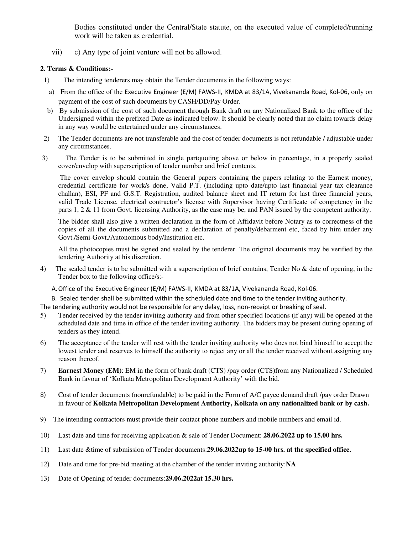Bodies constituted under the Central/State statute, on the executed value of completed/running work will be taken as credential.

vii) c) Any type of joint venture will not be allowed.

## **2. Terms & Conditions:-**

- 1) The intending tenderers may obtain the Tender documents in the following ways:
	- a) From the office of the Executive Engineer (E/M) FAWS-II, KMDA at 83/1A, Vivekananda Road, Kol-06, only on payment of the cost of such documents by CASH/DD/Pay Order.
- b) By submission of the cost of such document through Bank draft on any Nationalized Bank to the office of the Undersigned within the prefixed Date as indicated below. It should be clearly noted that no claim towards delay in any way would be entertained under any circumstances.
- 2) The Tender documents are not transferable and the cost of tender documents is not refundable / adjustable under any circumstances.
- 3) The Tender is to be submitted in single partquoting above or below in percentage, in a properly sealed cover/envelop with superscription of tender number and brief contents.

 The cover envelop should contain the General papers containing the papers relating to the Earnest money, credential certificate for work/s done, Valid P.T. (including upto date/upto last financial year tax clearance challan), ESI, PF and G.S.T. Registration, audited balance sheet and IT return for last three financial years, valid Trade License, electrical contractor's license with Supervisor having Certificate of competency in the parts 1, 2 & 11 from Govt. licensing Authority, as the case may be, and PAN issued by the competent authority.

 The bidder shall also give a written declaration in the form of Affidavit before Notary as to correctness of the copies of all the documents submitted and a declaration of penalty/debarment etc, faced by him under any Govt./Semi-Govt./Autonomous body/Institution etc.

 All the photocopies must be signed and sealed by the tenderer. The original documents may be verified by the tendering Authority at his discretion.

4) The sealed tender is to be submitted with a superscription of brief contains, Tender No & date of opening, in the Tender box to the following office/s:-

A.Office of the Executive Engineer (E/M) FAWS-II, KMDA at 83/1A, Vivekananda Road, Kol-06.

 B. Sealed tender shall be submitted within the scheduled date and time to the tender inviting authority. The tendering authority would not be responsible for any delay, loss, non-receipt or breaking of seal.

- 5) Tender received by the tender inviting authority and from other specified locations (if any) will be opened at the scheduled date and time in office of the tender inviting authority. The bidders may be present during opening of tenders as they intend.
- 6) The acceptance of the tender will rest with the tender inviting authority who does not bind himself to accept the lowest tender and reserves to himself the authority to reject any or all the tender received without assigning any reason thereof.
- 7) **Earnest Money (EM)**: EM in the form of bank draft (CTS) /pay order (CTS)from any Nationalized / Scheduled Bank in favour of 'Kolkata Metropolitan Development Authority' with the bid.
- 8) Cost of tender documents (nonrefundable) to be paid in the Form of A/C payee demand draft /pay order Drawn in favour of **Kolkata Metropolitan Development Authority, Kolkata on any nationalized bank or by cash.**
- 9) The intending contractors must provide their contact phone numbers and mobile numbers and email id.
- 10) Last date and time for receiving application & sale of Tender Document: **28.06.2022 up to 15.00 hrs.**
- 11) Last date &time of submission of Tender documents:**29.06.2022up to 15-00 hrs. at the specified office.**
- 12**)** Date and time for pre-bid meeting at the chamber of the tender inviting authority:**NA**
- 13) Date of Opening of tender documents:**29.06.2022at 15.30 hrs.**